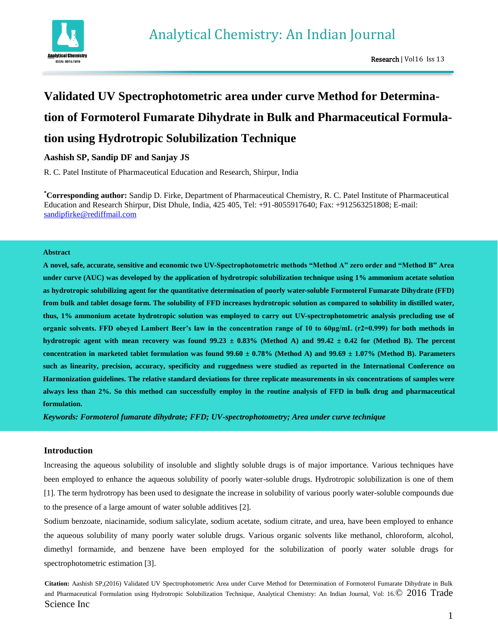

# **Validated UV Spectrophotometric area under curve Method for Determination of Formoterol Fumarate Dihydrate in Bulk and Pharmaceutical Formulation using Hydrotropic Solubilization Technique**

## **Aashish SP, Sandip DF and Sanjay JS**

R. C. Patel Institute of Pharmaceutical Education and Research, Shirpur, India

**\*Corresponding author:** Sandip D. Firke, Department of Pharmaceutical Chemistry, R. C. Patel Institute of Pharmaceutical Education and Research Shirpur, Dist Dhule, India, 425 405, Tel: +91-8055917640; Fax: +912563251808; E-mail: [sandipfirke@rediffmail.com](mailto:sandipfirke@rediffmail.com)

#### **Abstract**

**A novel, safe, accurate, sensitive and economic two UV-Spectrophotometric methods "Method A" zero order and "Method B" Area under curve (AUC) was developed by the application of hydrotropic solubilization technique using 1% ammonium acetate solution as hydrotropic solubilizing agent for the quantitative determination of poorly water-soluble Formoterol Fumarate Dihydrate (FFD) from bulk and tablet dosage form. The solubility of FFD increases hydrotropic solution as compared to solubility in distilled water, thus, 1% ammonium acetate hydrotropic solution was employed to carry out UV-spectrophotometric analysis precluding use of organic solvents. FFD obeyed Lambert Beer's law in the concentration range of 10 to 60μg/mL (r2=0.999) for both methods in**  hydrotropic agent with mean recovery was found  $99.23 \pm 0.83\%$  (Method A) and  $99.42 \pm 0.42$  for (Method B). The percent **concentration in marketed tablet formulation was found 99.60 ± 0.78% (Method A) and 99.69 ± 1.07% (Method B). Parameters such as linearity, precision, accuracy, specificity and ruggedness were studied as reported in the International Conference on Harmonization guidelines. The relative standard deviations for three replicate measurements in six concentrations of samples were always less than 2%. So this method can successfully employ in the routine analysis of FFD in bulk drug and pharmaceutical formulation.**

*Keywords: Formoterol fumarate dihydrate; FFD; UV-spectrophotometry; Area under curve technique*

## **Introduction**

Increasing the aqueous solubility of insoluble and slightly soluble drugs is of major importance. Various techniques have been employed to enhance the aqueous solubility of poorly water-soluble drugs. Hydrotropic solubilization is one of them [1]. The term hydrotropy has been used to designate the increase in solubility of various poorly water-soluble compounds due to the presence of a large amount of water soluble additives [2].

Sodium benzoate, niacinamide, sodium salicylate, sodium acetate, sodium citrate, and urea, have been employed to enhance the aqueous solubility of many poorly water soluble drugs. Various organic solvents like methanol, chloroform, alcohol, dimethyl formamide, and benzene have been employed for the solubilization of poorly water soluble drugs for spectrophotometric estimation [3].

**Citation:** Aashish SP,(2016) Validated UV Spectrophotometric Area under Curve Method for Determination of Formoterol Fumarate Dihydrate in Bulk and Pharmaceutical Formulation using Hydrotropic Solubilization Technique, Analytical Chemistry: An Indian Journal, Vol: 16. $@2016$  Trade Science Inc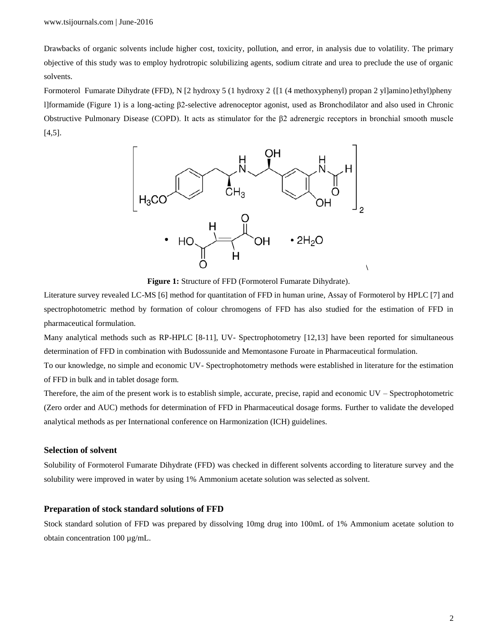Drawbacks of organic solvents include higher cost, toxicity, pollution, and error, in analysis due to volatility. The primary objective of this study was to employ hydrotropic solubilizing agents, sodium citrate and urea to preclude the use of organic solvents.

Formoterol Fumarate Dihydrate (FFD), N [2 hydroxy 5 (1 hydroxy 2 {[1 (4 methoxyphenyl) propan 2 yl]amino}ethyl)pheny l]formamide (Figure 1) is a long-acting β2-selective adrenoceptor agonist, used as Bronchodilator and also used in Chronic Obstructive Pulmonary Disease (COPD). It acts as stimulator for the β2 adrenergic receptors in bronchial smooth muscle [4,5].



**Figure 1:** Structure of FFD (Formoterol Fumarate Dihydrate).

Literature survey revealed LC-MS [6] method for quantitation of FFD in human urine, Assay of Formoterol by HPLC [7] and spectrophotometric method by formation of colour chromogens of FFD has also studied for the estimation of FFD in pharmaceutical formulation.

Many analytical methods such as RP-HPLC [8-11], UV- Spectrophotometry [12,13] have been reported for simultaneous determination of FFD in combination with Budossunide and Memontasone Furoate in Pharmaceutical formulation.

To our knowledge, no simple and economic UV- Spectrophotometry methods were established in literature for the estimation of FFD in bulk and in tablet dosage form.

Therefore, the aim of the present work is to establish simple, accurate, precise, rapid and economic UV – Spectrophotometric (Zero order and AUC) methods for determination of FFD in Pharmaceutical dosage forms. Further to validate the developed analytical methods as per International conference on Harmonization (ICH) guidelines.

#### **Selection of solvent**

Solubility of Formoterol Fumarate Dihydrate (FFD) was checked in different solvents according to literature survey and the solubility were improved in water by using 1% Ammonium acetate solution was selected as solvent.

#### **Preparation of stock standard solutions of FFD**

Stock standard solution of FFD was prepared by dissolving 10mg drug into 100mL of 1% Ammonium acetate solution to obtain concentration 100 µg/mL.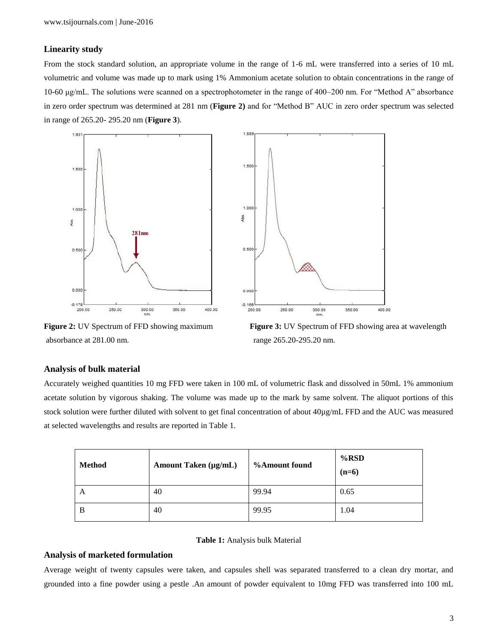## **Linearity study**

From the stock standard solution, an appropriate volume in the range of 1-6 mL were transferred into a series of 10 mL volumetric and volume was made up to mark using 1% Ammonium acetate solution to obtain concentrations in the range of 10-60 μg/mL. The solutions were scanned on a spectrophotometer in the range of 400–200 nm. For "Method A" absorbance in zero order spectrum was determined at 281 nm (**Figure 2)** and for "Method B" AUC in zero order spectrum was selected in range of 265.20- 295.20 nm (**Figure 3**).





absorbance at 281.00 nm. range 265.20-295.20 nm.



## **Analysis of bulk material**

Accurately weighed quantities 10 mg FFD were taken in 100 mL of volumetric flask and dissolved in 50mL 1% ammonium acetate solution by vigorous shaking. The volume was made up to the mark by same solvent. The aliquot portions of this stock solution were further diluted with solvent to get final concentration of about 40µg/mL FFD and the AUC was measured at selected wavelengths and results are reported in Table 1.

| <b>Method</b> | Amount Taken (µg/mL) | <b>%Amount found</b> | $%$ RSD<br>$(n=6)$ |
|---------------|----------------------|----------------------|--------------------|
| A             | 40                   | 99.94                | 0.65               |
| B             | 40                   | 99.95                | 1.04               |

## **Table 1:** Analysis bulk Material

## **Analysis of marketed formulation**

Average weight of twenty capsules were taken, and capsules shell was separated transferred to a clean dry mortar, and grounded into a fine powder using a pestle .An amount of powder equivalent to 10mg FFD was transferred into 100 mL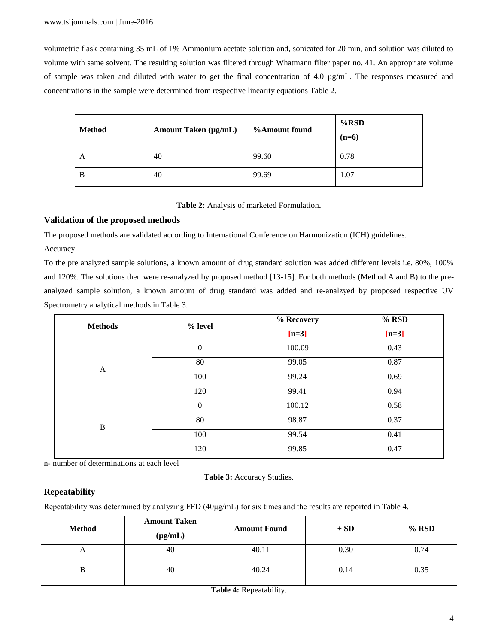volumetric flask containing 35 mL of 1% Ammonium acetate solution and, sonicated for 20 min, and solution was diluted to volume with same solvent. The resulting solution was filtered through Whatmann filter paper no. 41. An appropriate volume of sample was taken and diluted with water to get the final concentration of 4.0  $\mu$ g/mL. The responses measured and concentrations in the sample were determined from respective linearity equations Table 2.

| <b>Method</b> | Amount Taken $(\mu g/mL)$ | %Amount found | $%$ RSD<br>$(n=6)$ |
|---------------|---------------------------|---------------|--------------------|
| A             | 40                        | 99.60         | 0.78               |
| B             | 40                        | 99.69         | 1.07               |

**Table 2:** Analysis of marketed Formulation**.**

## **Validation of the proposed methods**

The proposed methods are validated according to International Conference on Harmonization (ICH) guidelines.

## Accuracy

To the pre analyzed sample solutions, a known amount of drug standard solution was added different levels i.e. 80%, 100% and 120%. The solutions then were re-analyzed by proposed method [13-15]. For both methods (Method A and B) to the preanalyzed sample solution, a known amount of drug standard was added and re-analzyed by proposed respective UV Spectrometry analytical methods in Table 3.

| <b>Methods</b> | % level        | % Recovery | $%$ RSD |
|----------------|----------------|------------|---------|
|                |                | $[n=3]$    | $[n=3]$ |
| A              | $\overline{0}$ | 100.09     | 0.43    |
|                | 80             | 99.05      | 0.87    |
|                | 100            | 99.24      | 0.69    |
|                | 120            | 99.41      | 0.94    |
| $\, {\bf B}$   | $\overline{0}$ | 100.12     | 0.58    |
|                | 80             | 98.87      | 0.37    |
|                | 100            | 99.54      | 0.41    |
|                | 120            | 99.85      | 0.47    |

n- number of determinations at each level

**Table 3:** Accuracy Studies.

# **Repeatability**

Repeatability was determined by analyzing FFD (40μg/mL) for six times and the results are reported in Table 4.

| <b>Method</b> | <b>Amount Taken</b><br>$(\mu g/mL)$ | <b>Amount Found</b> | $+$ SD | $%$ RSD |
|---------------|-------------------------------------|---------------------|--------|---------|
| $\mathbf{L}$  | 40                                  | 40.11               | 0.30   | 0.74    |
|               | 40                                  | 40.24               | 0.14   | 0.35    |

**Table 4:** Repeatability.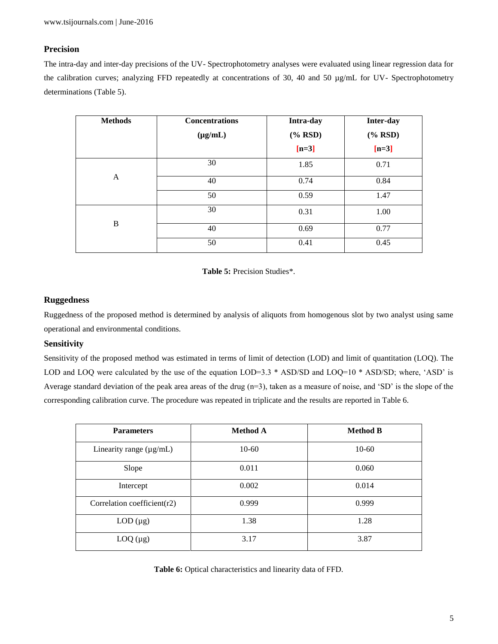# **Precision**

The intra-day and inter-day precisions of the UV- Spectrophotometry analyses were evaluated using linear regression data for the calibration curves; analyzing FFD repeatedly at concentrations of 30, 40 and 50 µg/mL for UV- Spectrophotometry determinations (Table 5).

| <b>Methods</b> | <b>Concentrations</b> | Intra-day          | Inter-day          |
|----------------|-----------------------|--------------------|--------------------|
|                | $(\mu g/mL)$          | $(% \mathbf{RSD})$ | $(% \mathbf{RSD})$ |
|                |                       | $[n=3]$            | $[n=3]$            |
|                | 30                    | 1.85               | 0.71               |
| A              | 40                    | 0.74               | 0.84               |
|                | 50                    | 0.59               | 1.47               |
|                | 30                    | 0.31               | 1.00               |
| B              | 40                    | 0.69               | 0.77               |
|                | 50                    | 0.41               | 0.45               |



# **Ruggedness**

Ruggedness of the proposed method is determined by analysis of aliquots from homogenous slot by two analyst using same operational and environmental conditions.

# **Sensitivity**

Sensitivity of the proposed method was estimated in terms of limit of detection (LOD) and limit of quantitation (LOQ). The LOD and LOQ were calculated by the use of the equation LOD=3.3 \* ASD/SD and LOQ=10 \* ASD/SD; where, 'ASD' is Average standard deviation of the peak area areas of the drug  $(n=3)$ , taken as a measure of noise, and 'SD' is the slope of the corresponding calibration curve. The procedure was repeated in triplicate and the results are reported in Table 6.

| <b>Parameters</b>            | <b>Method A</b> | <b>Method B</b> |
|------------------------------|-----------------|-----------------|
| Linearity range $(\mu g/mL)$ | $10-60$         | $10-60$         |
| Slope                        | 0.011           | 0.060           |
| Intercept                    | 0.002           | 0.014           |
| Correlation coefficient(r2)  | 0.999           | 0.999           |
| $LOD(\mu g)$                 | 1.38            | 1.28            |
| $LOQ (\mu g)$                | 3.17            | 3.87            |

**Table 6:** Optical characteristics and linearity data of FFD.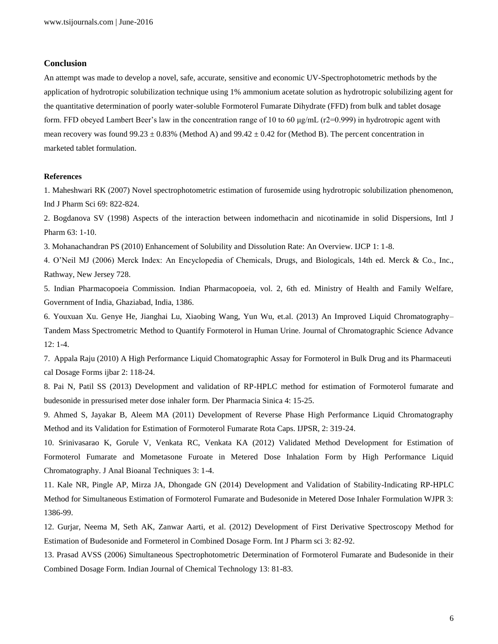#### **Conclusion**

An attempt was made to develop a novel, safe, accurate, sensitive and economic UV-Spectrophotometric methods by the application of hydrotropic solubilization technique using 1% ammonium acetate solution as hydrotropic solubilizing agent for the quantitative determination of poorly water-soluble Formoterol Fumarate Dihydrate (FFD) from bulk and tablet dosage form. FFD obeyed Lambert Beer's law in the concentration range of 10 to 60  $\mu$ g/mL (r2=0.999) in hydrotropic agent with mean recovery was found 99.23  $\pm$  0.83% (Method A) and 99.42  $\pm$  0.42 for (Method B). The percent concentration in marketed tablet formulation.

#### **References**

1. Maheshwari RK (2007) Novel spectrophotometric estimation of furosemide using hydrotropic solubilization phenomenon, Ind J Pharm Sci 69: 822-824.

2. Bogdanova SV (1998) Aspects of the interaction between indomethacin and nicotinamide in solid Dispersions, Intl J Pharm 63: 1-10.

3. Mohanachandran PS (2010) Enhancement of Solubility and Dissolution Rate: An Overview. IJCP 1: 1-8.

4. O'Neil MJ (2006) Merck Index: An Encyclopedia of Chemicals, Drugs, and Biologicals, 14th ed. Merck & Co., Inc., Rathway, New Jersey 728.

5. Indian Pharmacopoeia Commission. Indian Pharmacopoeia, vol. 2, 6th ed. Ministry of Health and Family Welfare, Government of India, Ghaziabad, India, 1386.

6. Youxuan Xu. Genye He, Jianghai Lu, Xiaobing Wang, Yun Wu, et.al. (2013) An Improved Liquid Chromatography– Tandem Mass Spectrometric Method to Quantify Formoterol in Human Urine. Journal of Chromatographic Science Advance 12: 1-4.

7. Appala Raju (2010) A High Performance Liquid Chomatographic Assay for Formoterol in Bulk Drug and its Pharmaceuti cal Dosage Forms ijbar 2: 118-24.

8. Pai N, Patil SS (2013) Development and validation of RP-HPLC method for estimation of Formoterol fumarate and budesonide in pressurised meter dose inhaler form. Der Pharmacia Sinica 4: 15-25.

9. Ahmed S, Jayakar B, Aleem MA (2011) Development of Reverse Phase High Performance Liquid Chromatography Method and its Validation for Estimation of Formoterol Fumarate Rota Caps. IJPSR, 2: 319-24.

10. Srinivasarao K, Gorule V, Venkata RC, Venkata KA (2012) Validated Method Development for Estimation of Formoterol Fumarate and Mometasone Furoate in Metered Dose Inhalation Form by High Performance Liquid Chromatography. J Anal Bioanal Techniques 3: 1-4.

11. Kale NR, Pingle AP, Mirza JA, Dhongade GN (2014) Development and Validation of Stability-Indicating RP-HPLC Method for Simultaneous Estimation of Formoterol Fumarate and Budesonide in Metered Dose Inhaler Formulation WJPR 3: 1386-99.

12. Gurjar, Neema M, Seth AK, Zanwar Aarti, et al. (2012) Development of First Derivative Spectroscopy Method for Estimation of Budesonide and Formeterol in Combined Dosage Form. Int J Pharm sci 3: 82-92.

13. Prasad AVSS (2006) Simultaneous Spectrophotometric Determination of Formoterol Fumarate and Budesonide in their Combined Dosage Form. Indian Journal of Chemical Technology 13: 81-83.